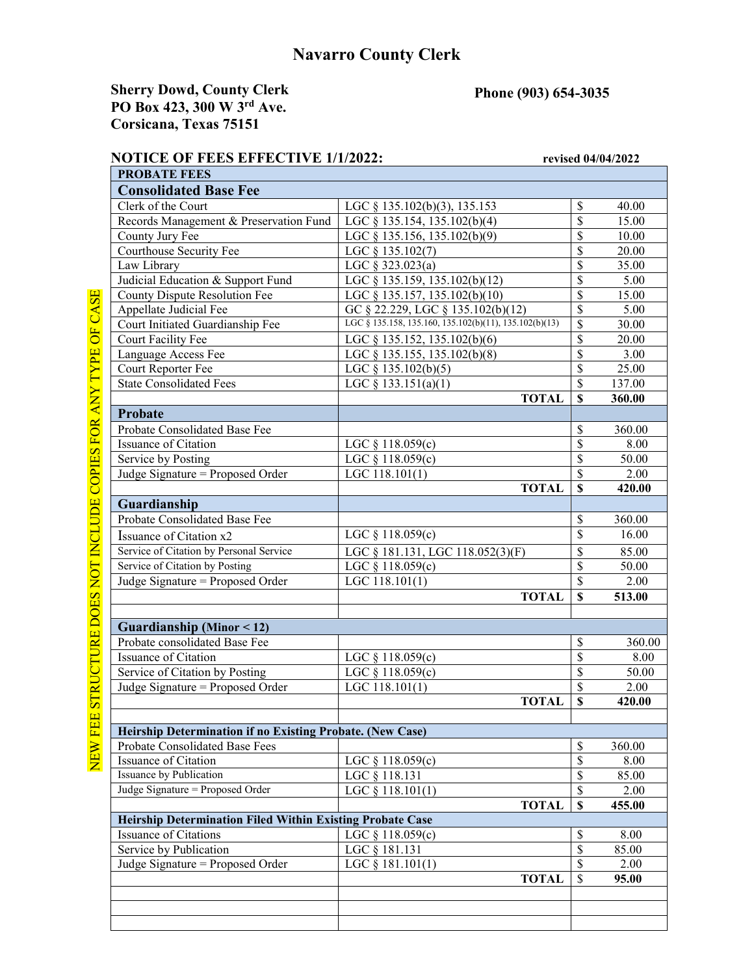## **Navarro County Clerk**

## **Sherry Dowd, County Clerk PO Box 423, 300 W 3rd Ave. Corsicana, Texas 75151**

## **Phone (903) 654-3035**

## **NOTICE OF FEES EFFECTIVE 1/1/2022:** revised 04/04/2022

| <b>PROBATE FEES</b>                                              |                                                        |                           |        |
|------------------------------------------------------------------|--------------------------------------------------------|---------------------------|--------|
| <b>Consolidated Base Fee</b>                                     |                                                        |                           |        |
| Clerk of the Court                                               | LGC § 135.102(b)(3), 135.153                           | $\mathcal{S}$             | 40.00  |
| Records Management & Preservation Fund                           | LGC $\S$ 135.154, 135.102(b)(4)                        | \$                        | 15.00  |
| County Jury Fee                                                  | LGC § 135.156, 135.102(b)(9)                           | \$                        | 10.00  |
| Courthouse Security Fee                                          | LGC § 135.102(7)                                       | \$                        | 20.00  |
| Law Library                                                      | LGC § 323.023(a)                                       | \$                        | 35.00  |
| Judicial Education & Support Fund                                | LGC § 135.159, 135.102(b)(12)                          | \$                        | 5.00   |
| County Dispute Resolution Fee                                    | LGC § 135.157, 135.102(b)(10)                          | \$                        | 15.00  |
| Appellate Judicial Fee                                           | GC § 22.229, LGC § 135.102(b)(12)                      | \$                        | 5.00   |
| Court Initiated Guardianship Fee                                 | LGC § 135.158, 135.160, 135.102(b)(11), 135.102(b)(13) | \$                        | 30.00  |
| Court Facility Fee                                               | LGC § 135.152, 135.102(b)(6)                           | \$                        | 20.00  |
| Language Access Fee                                              | LGC § 135.155, 135.102(b)(8)                           | \$                        | 3.00   |
| Court Reporter Fee                                               | LGC $\S$ 135.102(b)(5)                                 | \$                        | 25.00  |
| <b>State Consolidated Fees</b>                                   | LGC § 133.151(a)(1)                                    | \$                        | 137.00 |
|                                                                  | <b>TOTAL</b>                                           | $\mathbf S$               | 360.00 |
| Probate                                                          |                                                        |                           |        |
| Probate Consolidated Base Fee                                    |                                                        | $\mathcal{S}$             | 360.00 |
| Issuance of Citation                                             | LGC $§$ 118.059(c)                                     | \$                        | 8.00   |
| Service by Posting                                               | LGC § 118.059(c)                                       | \$                        | 50.00  |
| Judge Signature = Proposed Order                                 | LGC 118.101(1)                                         | \$                        | 2.00   |
|                                                                  | <b>TOTAL</b>                                           | $\mathbf S$               | 420.00 |
| Guardianship                                                     |                                                        |                           |        |
| Probate Consolidated Base Fee                                    |                                                        | \$                        | 360.00 |
| Issuance of Citation x2                                          | LGC $§$ 118.059(c)                                     | \$                        | 16.00  |
| Service of Citation by Personal Service                          | LGC § 181.131, LGC 118.052(3)(F)                       | $\mathcal{S}$             | 85.00  |
| Service of Citation by Posting                                   | LGC § 118.059(c)                                       | \$                        | 50.00  |
| Judge Signature = Proposed Order                                 | LGC 118.101(1)                                         | \$                        | 2.00   |
|                                                                  | <b>TOTAL</b>                                           | $\mathbf S$               | 513.00 |
|                                                                  |                                                        |                           |        |
| Guardianship (Minor < 12)                                        |                                                        |                           |        |
| Probate consolidated Base Fee                                    |                                                        | $\mathcal{S}$             | 360.00 |
| Issuance of Citation                                             | LGC $§$ 118.059(c)                                     | $\overline{\mathcal{S}}$  | 8.00   |
| Service of Citation by Posting                                   | LGC § 118.059(c)                                       | \$                        | 50.00  |
| Judge Signature = Proposed Order                                 | LGC $118.101(1)$                                       | \$                        | 2.00   |
|                                                                  | <b>TOTAL</b>                                           | \$                        | 420.00 |
|                                                                  |                                                        |                           |        |
| Heirship Determination if no Existing Probate. (New Case)        |                                                        |                           |        |
| Probate Consolidated Base Fees                                   |                                                        | $\boldsymbol{\mathsf{S}}$ | 360.00 |
| Issuance of Citation                                             | LGC $§$ 118.059(c)                                     | $\mathcal{S}$             | 8.00   |
| <b>Issuance by Publication</b>                                   | LGC § 118.131                                          | $\boldsymbol{\mathsf{S}}$ | 85.00  |
| Judge Signature = Proposed Order                                 | LGC $§$ 118.101(1)                                     | $\boldsymbol{\mathsf{S}}$ | 2.00   |
|                                                                  | <b>TOTAL</b>                                           | $\boldsymbol{\mathsf{S}}$ | 455.00 |
| <b>Heirship Determination Filed Within Existing Probate Case</b> |                                                        |                           |        |
| <b>Issuance of Citations</b>                                     | LGC $§$ 118.059(c)                                     | $\boldsymbol{\mathsf{S}}$ | 8.00   |
| Service by Publication                                           | LGC § 181.131                                          | $\mathcal{S}$             | 85.00  |
| Judge Signature = Proposed Order                                 | LGC $§$ 181.101(1)                                     | $\boldsymbol{\mathsf{S}}$ | 2.00   |
|                                                                  | <b>TOTAL</b>                                           | $\mathcal{S}$             | 95.00  |
|                                                                  |                                                        |                           |        |
|                                                                  |                                                        |                           |        |
|                                                                  |                                                        |                           |        |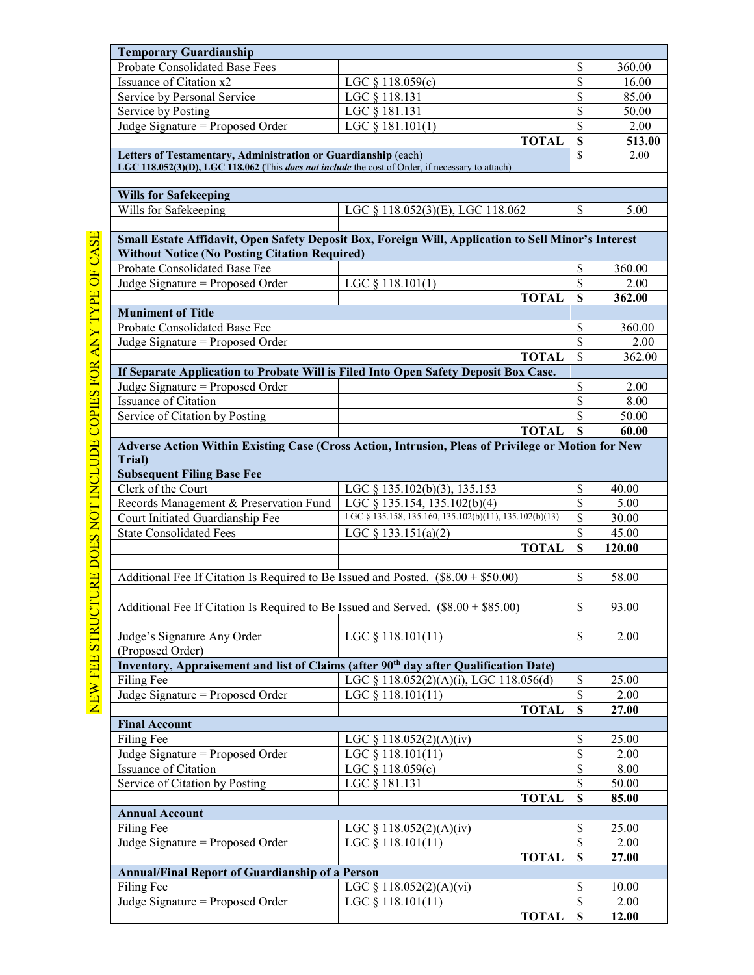| <b>Temporary Guardianship</b>                                                                           |                                                                                                     |                          |        |
|---------------------------------------------------------------------------------------------------------|-----------------------------------------------------------------------------------------------------|--------------------------|--------|
| Probate Consolidated Base Fees                                                                          |                                                                                                     | \$                       | 360.00 |
| Issuance of Citation x2                                                                                 | LGC $§$ 118.059(c)                                                                                  | $\overline{\mathbb{S}}$  | 16.00  |
| Service by Personal Service                                                                             | LGC § 118.131                                                                                       | $\overline{\mathbb{S}}$  | 85.00  |
| Service by Posting                                                                                      | LGC § 181.131                                                                                       | $\overline{\mathbb{S}}$  | 50.00  |
| Judge Signature = Proposed Order                                                                        | LGC § 181.101(1)                                                                                    | $\overline{\mathbb{S}}$  | 2.00   |
|                                                                                                         | <b>TOTAL</b>                                                                                        | $\overline{\mathbf{S}}$  | 513.00 |
| Letters of Testamentary, Administration or Guardianship (each)                                          |                                                                                                     | $\mathbf{\hat{S}}$       | 2.00   |
| LGC 118.052(3)(D), LGC 118.062 (This <i>does not include</i> the cost of Order, if necessary to attach) |                                                                                                     |                          |        |
|                                                                                                         |                                                                                                     |                          |        |
| <b>Wills for Safekeeping</b>                                                                            |                                                                                                     |                          |        |
| Wills for Safekeeping                                                                                   | LGC § 118.052(3)(E), LGC 118.062                                                                    | \$                       | 5.00   |
|                                                                                                         |                                                                                                     |                          |        |
|                                                                                                         | Small Estate Affidavit, Open Safety Deposit Box, Foreign Will, Application to Sell Minor's Interest |                          |        |
| <b>Without Notice (No Posting Citation Required)</b>                                                    |                                                                                                     |                          |        |
| Probate Consolidated Base Fee                                                                           |                                                                                                     | \$                       | 360.00 |
| Judge Signature = Proposed Order                                                                        | LGC $§$ 118.101(1)                                                                                  | \$                       | 2.00   |
|                                                                                                         | <b>TOTAL</b>                                                                                        | $\mathbf S$              | 362.00 |
| <b>Muniment of Title</b>                                                                                |                                                                                                     |                          |        |
| Probate Consolidated Base Fee                                                                           |                                                                                                     | \$                       | 360.00 |
| Judge Signature = Proposed Order                                                                        |                                                                                                     | \$                       | 2.00   |
|                                                                                                         | <b>TOTAL</b>                                                                                        | $\overline{\mathcal{S}}$ | 362.00 |
|                                                                                                         |                                                                                                     |                          |        |
| Judge Signature = Proposed Order                                                                        | If Separate Application to Probate Will is Filed Into Open Safety Deposit Box Case.                 | \$                       | 2.00   |
|                                                                                                         |                                                                                                     |                          |        |
| Issuance of Citation                                                                                    |                                                                                                     | \$                       | 8.00   |
| Service of Citation by Posting                                                                          |                                                                                                     | \$                       | 50.00  |
|                                                                                                         | <b>TOTAL</b>                                                                                        | $\mathbf S$              | 60.00  |
|                                                                                                         | Adverse Action Within Existing Case (Cross Action, Intrusion, Pleas of Privilege or Motion for New  |                          |        |
| Trial)                                                                                                  |                                                                                                     |                          |        |
| <b>Subsequent Filing Base Fee</b>                                                                       |                                                                                                     |                          |        |
| Clerk of the Court                                                                                      | LGC § 135.102(b)(3), 135.153                                                                        | \$                       | 40.00  |
| Records Management & Preservation Fund                                                                  | LGC § 135.154, 135.102(b)(4)                                                                        | \$                       | 5.00   |
| Court Initiated Guardianship Fee                                                                        | LGC § 135.158, 135.160, 135.102(b)(11), 135.102(b)(13)                                              | \$                       | 30.00  |
| <b>State Consolidated Fees</b>                                                                          | LGC § 133.151(a)(2)                                                                                 | \$                       | 45.00  |
|                                                                                                         | <b>TOTAL</b>                                                                                        | $\mathbf S$              | 120.00 |
|                                                                                                         |                                                                                                     |                          |        |
| Additional Fee If Citation Is Required to Be Issued and Posted. $(\$8.00 + \$50.00)$                    |                                                                                                     | \$                       | 58.00  |
|                                                                                                         |                                                                                                     |                          |        |
| Additional Fee If Citation Is Required to Be Issued and Served. $(\$8.00 + \$85.00)$                    |                                                                                                     | \$                       | 93.00  |
|                                                                                                         |                                                                                                     |                          |        |
| Judge's Signature Any Order                                                                             | LGC $§$ 118.101(11)                                                                                 | $\mathbb{S}$             | 2.00   |
| (Proposed Order)                                                                                        |                                                                                                     |                          |        |
|                                                                                                         | Inventory, Appraisement and list of Claims (after 90 <sup>th</sup> day after Qualification Date)    |                          |        |
| Filing Fee                                                                                              | LGC § 118.052(2)(A)(i), LGC 118.056(d)                                                              | \$                       | 25.00  |
| Judge Signature = Proposed Order                                                                        | $\overline{LGC \ \S}$ 118.101(11)                                                                   | $\overline{\mathcal{S}}$ | 2.00   |
|                                                                                                         | <b>TOTAL</b>                                                                                        | $\overline{\mathbf{s}}$  | 27.00  |
| <b>Final Account</b>                                                                                    |                                                                                                     |                          |        |
| Filing Fee                                                                                              | LGC $§ 118.052(2)(A)(iv)$                                                                           | \$                       | 25.00  |
| Judge Signature = Proposed Order                                                                        | LGC § 118.101(11)                                                                                   | $\overline{\$}$          | 2.00   |
| Issuance of Citation                                                                                    | LGC § 118.059(c)                                                                                    | $\overline{\$}$          | 8.00   |
| Service of Citation by Posting                                                                          | LGC § 181.131                                                                                       | $\overline{\mathcal{S}}$ | 50.00  |
|                                                                                                         | <b>TOTAL</b>                                                                                        | $\overline{\mathbf{s}}$  | 85.00  |
| <b>Annual Account</b>                                                                                   |                                                                                                     |                          |        |
| Filing Fee                                                                                              |                                                                                                     | \$                       | 25.00  |
|                                                                                                         | LGC § 118.052(2)(A)(iv)                                                                             | $\overline{\mathcal{S}}$ |        |
| Judge Signature = Proposed Order                                                                        | LGC § 118.101(11)                                                                                   | $\overline{\mathbf{s}}$  | 2.00   |
|                                                                                                         | <b>TOTAL</b>                                                                                        |                          | 27.00  |
| Annual/Final Report of Guardianship of a Person                                                         |                                                                                                     |                          |        |
| Filing Fee                                                                                              | LGC $\S$ 118.052(2)(A)(vi)                                                                          | \$                       | 10.00  |
| Judge Signature = Proposed Order                                                                        | $LGC$ § 118.101(11)                                                                                 | \$                       | 2.00   |
|                                                                                                         | <b>TOTAL</b>                                                                                        | $\overline{\mathbf{s}}$  | 12.00  |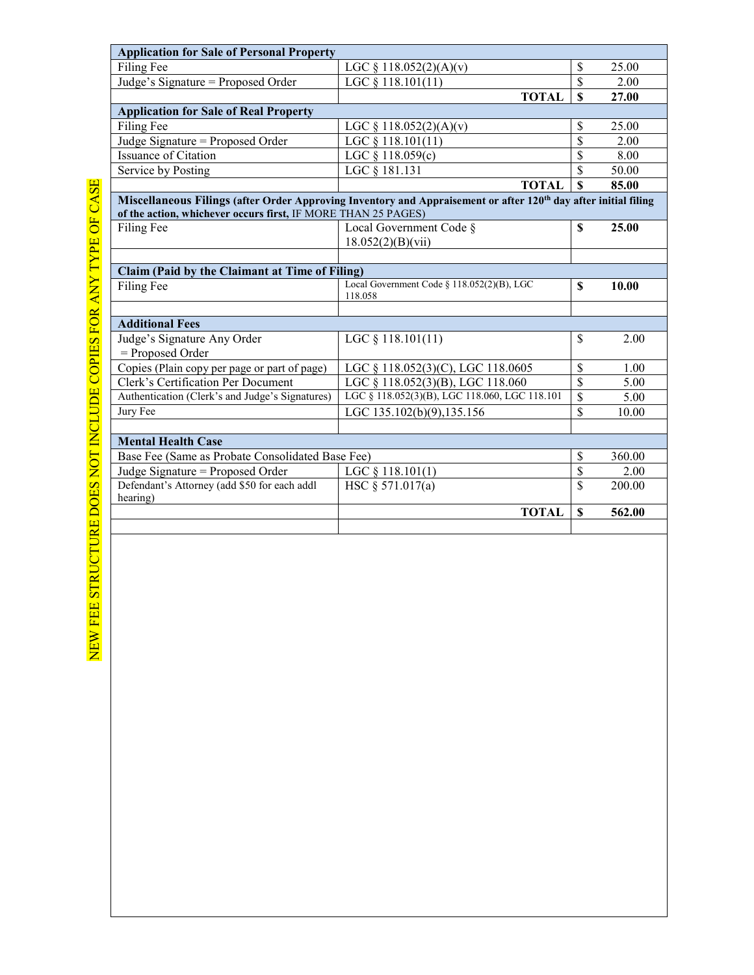| <b>Application for Sale of Personal Property</b>              |                                                                                                                 |                         |        |
|---------------------------------------------------------------|-----------------------------------------------------------------------------------------------------------------|-------------------------|--------|
| Filing Fee                                                    | LGC $\S$ 118.052(2)(A)(v)                                                                                       | \$                      | 25.00  |
| Judge's Signature = Proposed Order                            | LGC § 118.101(11)                                                                                               | $\overline{\mathbb{S}}$ | 2.00   |
|                                                               | <b>TOTAL</b>                                                                                                    | \$                      | 27.00  |
| <b>Application for Sale of Real Property</b>                  |                                                                                                                 |                         |        |
| Filing Fee                                                    | LGC § 118.052(2)(A)(v)                                                                                          | \$                      | 25.00  |
| Judge Signature = Proposed Order                              | LGC $§$ 118.101(11)                                                                                             | \$                      | 2.00   |
| Issuance of Citation                                          | LGC $§$ 118.059(c)                                                                                              | \$                      | 8.00   |
| Service by Posting                                            | LGC § 181.131                                                                                                   | $\overline{\mathbb{S}}$ | 50.00  |
|                                                               | <b>TOTAL</b>                                                                                                    | $\overline{\mathbf{s}}$ | 85.00  |
|                                                               | Miscellaneous Filings (after Order Approving Inventory and Appraisement or after 120th day after initial filing |                         |        |
| of the action, whichever occurs first, IF MORE THAN 25 PAGES) |                                                                                                                 |                         |        |
| Filing Fee                                                    | Local Government Code §                                                                                         | \$                      | 25.00  |
|                                                               | 18.052(2)(B)(vii)                                                                                               |                         |        |
|                                                               |                                                                                                                 |                         |        |
| Claim (Paid by the Claimant at Time of Filing)<br>Filing Fee  | Local Government Code § 118.052(2)(B), LGC                                                                      | \$                      | 10.00  |
|                                                               | 118.058                                                                                                         |                         |        |
|                                                               |                                                                                                                 |                         |        |
| <b>Additional Fees</b>                                        |                                                                                                                 |                         |        |
| Judge's Signature Any Order                                   | LGC $§$ 118.101(11)                                                                                             | \$                      | 2.00   |
| = Proposed Order                                              |                                                                                                                 |                         |        |
| Copies (Plain copy per page or part of page)                  | LGC § 118.052(3)(C), LGC 118.0605                                                                               | \$                      | 1.00   |
| Clerk's Certification Per Document                            | LGC § 118.052(3)(B), LGC 118.060                                                                                | \$                      | 5.00   |
| Authentication (Clerk's and Judge's Signatures)               | LGC § 118.052(3)(B), LGC 118.060, LGC 118.101                                                                   | $\overline{\$}$         | 5.00   |
| Jury Fee                                                      | LGC 135.102(b)(9),135.156                                                                                       | $\overline{\mathbb{S}}$ | 10.00  |
|                                                               |                                                                                                                 |                         |        |
| <b>Mental Health Case</b>                                     |                                                                                                                 |                         |        |
| Base Fee (Same as Probate Consolidated Base Fee)              |                                                                                                                 | \$                      | 360.00 |
| Judge Signature = Proposed Order                              | LGC $§$ 118.101(1)                                                                                              | $\overline{\mathbb{S}}$ | 2.00   |
| Defendant's Attorney (add \$50 for each addl                  | HSC § 571.017(a)                                                                                                | $\overline{\mathbb{S}}$ | 200.00 |
| hearing)                                                      |                                                                                                                 |                         |        |
|                                                               | <b>TOTAL</b>                                                                                                    | $\mathbf S$             | 562.00 |
|                                                               |                                                                                                                 |                         |        |

NEW FEE STRUCTURE DOES NOT INCLUDE COPIES FOR ANY TYPE OF CASE NEW FEE STRUCTURE DOES NOT INCLUDE COPIES FOR ANY TYPE OF CASE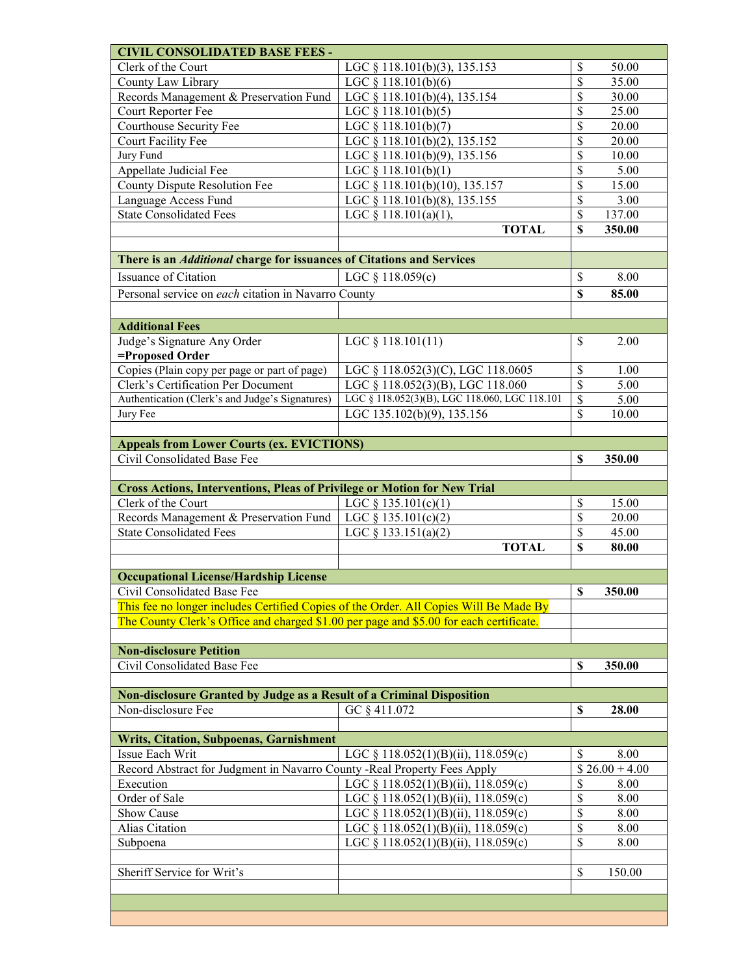| <b>CIVIL CONSOLIDATED BASE FEES -</b>                                                  |                                                                                   |                           |                 |
|----------------------------------------------------------------------------------------|-----------------------------------------------------------------------------------|---------------------------|-----------------|
| Clerk of the Court                                                                     | LGC § 118.101(b)(3), 135.153                                                      | \$                        | 50.00           |
| County Law Library                                                                     | LGC § 118.101(b)(6)                                                               | $\overline{\mathbb{S}}$   | 35.00           |
| Records Management & Preservation Fund                                                 | LGC § 118.101(b)(4), 135.154                                                      | $\overline{\$}$           | 30.00           |
| Court Reporter Fee                                                                     | LGC § 118.101(b)(5)                                                               | $\overline{\$}$           | 25.00           |
| Courthouse Security Fee                                                                | LGC § 118.101(b)(7)                                                               | $\overline{\$}$           | 20.00           |
| Court Facility Fee                                                                     | LGC § 118.101(b)(2), 135.152                                                      | $\overline{\$}$           | 20.00           |
| Jury Fund                                                                              | LGC § 118.101(b)(9), 135.156                                                      | \$                        | 10.00           |
| <b>Appellate Judicial Fee</b>                                                          | LGC § 118.101(b)(1)                                                               | \$                        | 5.00            |
| <b>County Dispute Resolution Fee</b>                                                   | LGC § 118.101(b)(10), 135.157                                                     | \$                        | 15.00           |
| Language Access Fund                                                                   | LGC § 118.101(b)(8), 135.155                                                      | \$                        | 3.00            |
| <b>State Consolidated Fees</b>                                                         | LGC $§$ 118.101(a)(1),                                                            | \$                        | 137.00          |
|                                                                                        | <b>TOTAL</b>                                                                      | \$                        | 350.00          |
|                                                                                        |                                                                                   |                           |                 |
| There is an <i>Additional</i> charge for issuances of Citations and Services           |                                                                                   |                           |                 |
| Issuance of Citation                                                                   | LGC $§$ 118.059(c)                                                                | \$                        | 8.00            |
| Personal service on each citation in Navarro County                                    |                                                                                   | \$                        | 85.00           |
|                                                                                        |                                                                                   |                           |                 |
| <b>Additional Fees</b>                                                                 |                                                                                   |                           |                 |
| Judge's Signature Any Order                                                            |                                                                                   | \$                        |                 |
| =Proposed Order                                                                        | LGC $§$ 118.101(11)                                                               |                           | 2.00            |
|                                                                                        |                                                                                   |                           |                 |
| Copies (Plain copy per page or part of page)<br>Clerk's Certification Per Document     | LGC § 118.052(3)(C), LGC 118.0605                                                 | \$<br>\$                  | 1.00            |
|                                                                                        | LGC § 118.052(3)(B), LGC 118.060<br>LGC § 118.052(3)(B), LGC 118.060, LGC 118.101 |                           | 5.00            |
| Authentication (Clerk's and Judge's Signatures)                                        |                                                                                   | \$                        | 5.00            |
| Jury Fee                                                                               | LGC 135.102(b)(9), 135.156                                                        | \$                        | 10.00           |
|                                                                                        |                                                                                   |                           |                 |
| <b>Appeals from Lower Courts (ex. EVICTIONS)</b>                                       |                                                                                   |                           |                 |
| Civil Consolidated Base Fee                                                            |                                                                                   | $\mathbf S$               | 350.00          |
|                                                                                        |                                                                                   |                           |                 |
|                                                                                        |                                                                                   |                           |                 |
| <b>Cross Actions, Interventions, Pleas of Privilege or Motion for New Trial</b>        |                                                                                   |                           |                 |
| Clerk of the Court                                                                     | LGC $§$ 135.101(c)(1)                                                             | \$                        | 15.00           |
| Records Management & Preservation Fund                                                 | LGC § 135.101(c)(2)                                                               | \$                        | 20.00           |
| <b>State Consolidated Fees</b>                                                         | LGC § 133.151(a)(2)                                                               | \$                        | 45.00           |
|                                                                                        | <b>TOTAL</b>                                                                      | \$                        | 80.00           |
|                                                                                        |                                                                                   |                           |                 |
| <b>Occupational License/Hardship License</b>                                           |                                                                                   |                           |                 |
| Civil Consolidated Base Fee                                                            |                                                                                   | $\mathbf S$               | 350.00          |
| This fee no longer includes Certified Copies of the Order. All Copies Will Be Made By  |                                                                                   |                           |                 |
| The County Clerk's Office and charged \$1.00 per page and \$5.00 for each certificate. |                                                                                   |                           |                 |
|                                                                                        |                                                                                   |                           |                 |
| <b>Non-disclosure Petition</b>                                                         |                                                                                   |                           |                 |
| Civil Consolidated Base Fee                                                            |                                                                                   | \$                        | 350.00          |
|                                                                                        |                                                                                   |                           |                 |
| Non-disclosure Granted by Judge as a Result of a Criminal Disposition                  |                                                                                   |                           |                 |
| Non-disclosure Fee                                                                     | GC § 411.072                                                                      | $\boldsymbol{\mathsf{S}}$ | 28.00           |
|                                                                                        |                                                                                   |                           |                 |
| <b>Writs, Citation, Subpoenas, Garnishment</b>                                         |                                                                                   |                           |                 |
| Issue Each Writ                                                                        | LGC § 118.052(1)(B)(ii), 118.059(c)                                               | \$                        | 8.00            |
| Record Abstract for Judgment in Navarro County - Real Property Fees Apply              |                                                                                   |                           | $$26.00 + 4.00$ |
| Execution                                                                              | LGC § 118.052(1)(B)(ii), 118.059(c)                                               | \$                        | 8.00            |
| Order of Sale                                                                          | LGC § 118.052(1)(B)(ii), 118.059(c)                                               | \$                        | 8.00            |
| Show Cause                                                                             | LGC § 118.052(1)(B)(ii), 118.059(c)                                               | \$                        | 8.00            |
| Alias Citation                                                                         | LGC § 118.052(1)(B)(ii), 118.059(c)                                               | \$                        | 8.00            |
| Subpoena                                                                               | LGC § 118.052(1)(B)(ii), 118.059(c)                                               | \$                        | 8.00            |
|                                                                                        |                                                                                   |                           |                 |
| Sheriff Service for Writ's                                                             |                                                                                   | \$                        | 150.00          |
|                                                                                        |                                                                                   |                           |                 |